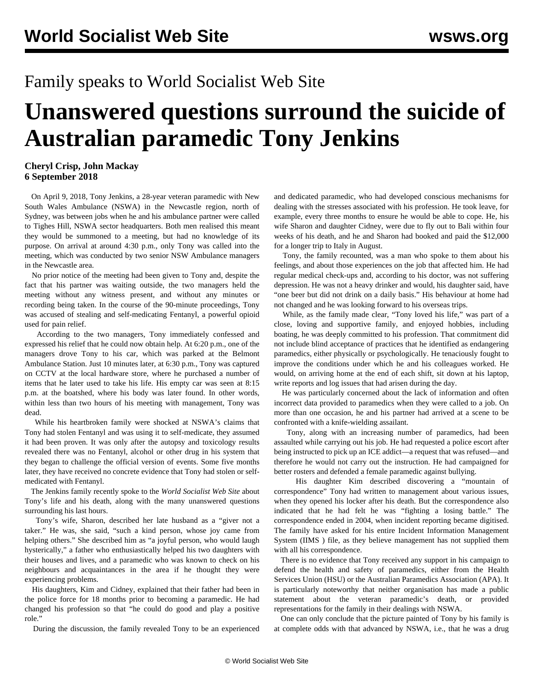## Family speaks to World Socialist Web Site

## **Unanswered questions surround the suicide of Australian paramedic Tony Jenkins**

## **Cheryl Crisp, John Mackay 6 September 2018**

 On April 9, 2018, Tony Jenkins, a 28-year veteran paramedic with New South Wales Ambulance (NSWA) in the Newcastle region, north of Sydney, was between jobs when he and his ambulance partner were called to Tighes Hill, NSWA sector headquarters. Both men realised this meant they would be summoned to a meeting, but had no knowledge of its purpose. On arrival at around 4:30 p.m., only Tony was called into the meeting, which was conducted by two senior NSW Ambulance managers in the Newcastle area.

 No prior notice of the meeting had been given to Tony and, despite the fact that his partner was waiting outside, the two managers held the meeting without any witness present, and without any minutes or recording being taken. In the course of the 90-minute proceedings, Tony was accused of stealing and self-medicating Fentanyl, a powerful opioid used for pain relief.

 According to the two managers, Tony immediately confessed and expressed his relief that he could now obtain help. At 6:20 p.m., one of the managers drove Tony to his car, which was parked at the Belmont Ambulance Station. Just 10 minutes later, at 6:30 p.m., Tony was captured on CCTV at the local hardware store, where he purchased a number of items that he later used to take his life. His empty car was seen at 8:15 p.m. at the boatshed, where his body was later found. In other words, within less than two hours of his meeting with management, Tony was dead.

 While his heartbroken family were shocked at NSWA's claims that Tony had stolen Fentanyl and was using it to self-medicate, they assumed it had been proven. It was only after the autopsy and toxicology results revealed there was no Fentanyl, alcohol or other drug in his system that they began to challenge the official version of events. Some five months later, they have received no concrete evidence that Tony had stolen or selfmedicated with Fentanyl.

 The Jenkins family recently spoke to the *World Socialist Web Site* about Tony's life and his death, along with the many unanswered questions surrounding his last hours.

 Tony's wife, Sharon, described her late husband as a "giver not a taker." He was, she said, "such a kind person, whose joy came from helping others." She described him as "a joyful person, who would laugh hysterically," a father who enthusiastically helped his two daughters with their houses and lives, and a paramedic who was known to check on his neighbours and acquaintances in the area if he thought they were experiencing problems.

 His daughters, Kim and Cidney, explained that their father had been in the police force for 18 months prior to becoming a paramedic. He had changed his profession so that "he could do good and play a positive role."

During the discussion, the family revealed Tony to be an experienced

and dedicated paramedic, who had developed conscious mechanisms for dealing with the stresses associated with his profession. He took leave, for example, every three months to ensure he would be able to cope. He, his wife Sharon and daughter Cidney, were due to fly out to Bali within four weeks of his death, and he and Sharon had booked and paid the \$12,000 for a longer trip to Italy in August.

 Tony, the family recounted, was a man who spoke to them about his feelings, and about those experiences on the job that affected him. He had regular medical check-ups and, according to his doctor, was not suffering depression. He was not a heavy drinker and would, his daughter said, have "one beer but did not drink on a daily basis." His behaviour at home had not changed and he was looking forward to his overseas trips.

 While, as the family made clear, "Tony loved his life," was part of a close, loving and supportive family, and enjoyed hobbies, including boating, he was deeply committed to his profession. That commitment did not include blind acceptance of practices that he identified as endangering paramedics, either physically or psychologically. He tenaciously fought to improve the conditions under which he and his colleagues worked. He would, on arriving home at the end of each shift, sit down at his laptop, write reports and log issues that had arisen during the day.

 He was particularly concerned about the lack of information and often incorrect data provided to paramedics when they were called to a job. On more than one occasion, he and his partner had arrived at a scene to be confronted with a knife-wielding assailant.

 Tony, along with an increasing number of paramedics, had been assaulted while carrying out his job. He had requested a police escort after being instructed to pick up an ICE addict—a request that was refused—and therefore he would not carry out the instruction. He had campaigned for better rosters and defended a female paramedic against bullying.

 His daughter Kim described discovering a "mountain of correspondence" Tony had written to management about various issues, when they opened his locker after his death. But the correspondence also indicated that he had felt he was "fighting a losing battle." The correspondence ended in 2004, when incident reporting became digitised. The family have asked for his entire Incident Information Management System (IIMS ) file, as they believe management has not supplied them with all his correspondence.

 There is no evidence that Tony received any support in his campaign to defend the health and safety of paramedics, either from the Health Services Union (HSU) or the Australian Paramedics Association (APA). It is particularly noteworthy that neither organisation has made a public statement about the veteran paramedic's death, or provided representations for the family in their dealings with NSWA.

 One can only conclude that the picture painted of Tony by his family is at complete odds with that advanced by NSWA, i.e., that he was a drug